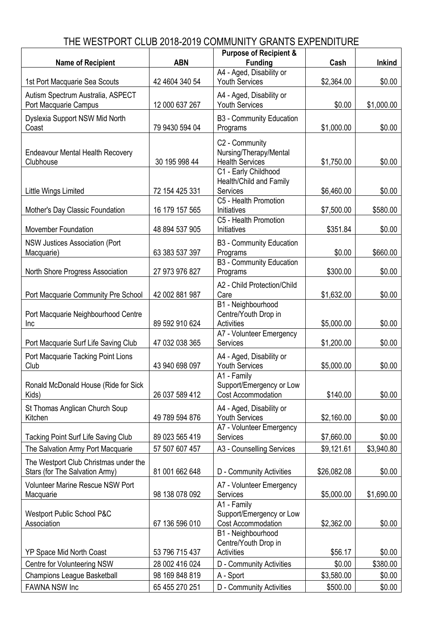## THE WESTPORT CLUB 2018-2019 COMMUNITY GRANTS EXPENDITURE

|                                                                         |                | <b>Purpose of Recipient &amp;</b>                                    |             |               |
|-------------------------------------------------------------------------|----------------|----------------------------------------------------------------------|-------------|---------------|
| <b>Name of Recipient</b>                                                | <b>ABN</b>     | <b>Funding</b>                                                       | Cash        | <b>Inkind</b> |
| 1st Port Macquarie Sea Scouts                                           | 42 4604 340 54 | A4 - Aged, Disability or<br><b>Youth Services</b>                    | \$2,364.00  | \$0.00        |
| Autism Spectrum Australia, ASPECT<br>Port Macquarie Campus              | 12 000 637 267 | A4 - Aged, Disability or<br><b>Youth Services</b>                    | \$0.00      | \$1,000.00    |
| Dyslexia Support NSW Mid North<br>Coast                                 | 79 9430 594 04 | B3 - Community Education<br>Programs                                 | \$1,000.00  | \$0.00        |
| <b>Endeavour Mental Health Recovery</b><br>Clubhouse                    | 30 195 998 44  | C2 - Community<br>Nursing/Therapy/Mental<br><b>Health Services</b>   | \$1,750.00  | \$0.00        |
| Little Wings Limited                                                    | 72 154 425 331 | C1 - Early Childhood<br>Health/Child and Family<br>Services          | \$6,460.00  | \$0.00        |
| Mother's Day Classic Foundation                                         | 16 179 157 565 | C5 - Health Promotion<br>Initiatives                                 | \$7,500.00  | \$580.00      |
| Movember Foundation                                                     | 48 894 537 905 | C5 - Health Promotion<br>Initiatives                                 | \$351.84    | \$0.00        |
| NSW Justices Association (Port<br>Macquarie)                            | 63 383 537 397 | <b>B3 - Community Education</b><br>Programs                          | \$0.00      | \$660.00      |
| North Shore Progress Association                                        | 27 973 976 827 | <b>B3 - Community Education</b><br>Programs                          | \$300.00    | \$0.00        |
| Port Macquarie Community Pre School                                     | 42 002 881 987 | A2 - Child Protection/Child<br>Care                                  | \$1,632.00  | \$0.00        |
| Port Macquarie Neighbourhood Centre<br>Inc                              | 89 592 910 624 | B1 - Neighbourhood<br>Centre/Youth Drop in<br><b>Activities</b>      | \$5,000.00  | \$0.00        |
| Port Macquarie Surf Life Saving Club                                    | 47 032 038 365 | A7 - Volunteer Emergency<br><b>Services</b>                          | \$1,200.00  | \$0.00        |
| Port Macquarie Tacking Point Lions<br>Club                              | 43 940 698 097 | A4 - Aged, Disability or<br>Youth Services                           | \$5,000.00  | \$0.00        |
| Ronald McDonald House (Ride for Sick<br>Kids)                           | 26 037 589 412 | A1 - Family<br>Support/Emergency or Low<br><b>Cost Accommodation</b> | \$140.00    | \$0.00        |
| St Thomas Anglican Church Soup<br>Kitchen                               | 49 789 594 876 | A4 - Aged, Disability or<br><b>Youth Services</b>                    | \$2,160.00  | \$0.00        |
| <b>Tacking Point Surf Life Saving Club</b>                              | 89 023 565 419 | A7 - Volunteer Emergency<br>Services                                 | \$7,660.00  | \$0.00        |
| The Salvation Army Port Macquarie                                       | 57 507 607 457 | A3 - Counselling Services                                            | \$9,121.61  | \$3,940.80    |
| The Westport Club Christmas under the<br>Stars (for The Salvation Army) | 81 001 662 648 | D - Community Activities                                             | \$26,082.08 | \$0.00        |
| Volunteer Marine Rescue NSW Port<br>Macquarie                           | 98 138 078 092 | A7 - Volunteer Emergency<br><b>Services</b>                          | \$5,000.00  | \$1,690.00    |
| Westport Public School P&C<br>Association                               | 67 136 596 010 | A1 - Family<br>Support/Emergency or Low<br>Cost Accommodation        | \$2,362.00  | \$0.00        |
| YP Space Mid North Coast                                                | 53 796 715 437 | B1 - Neighbourhood<br>Centre/Youth Drop in<br>Activities             | \$56.17     | \$0.00        |
| Centre for Volunteering NSW                                             | 28 002 416 024 | D - Community Activities                                             | \$0.00      | \$380.00      |
| <b>Champions League Basketball</b>                                      | 98 169 848 819 | A - Sport                                                            | \$3,580.00  | \$0.00        |
| FAWNA NSW Inc                                                           | 65 455 270 251 | D - Community Activities                                             | \$500.00    | \$0.00        |